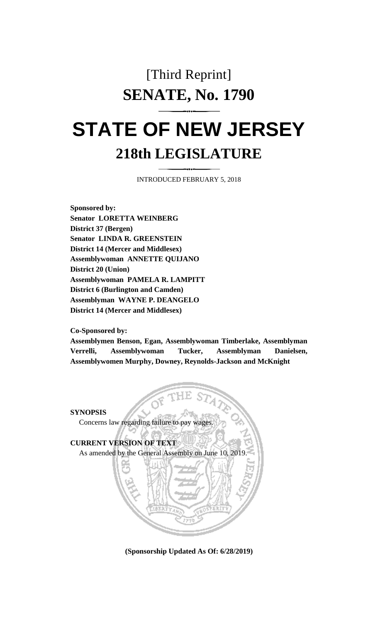# [Third Reprint] **SENATE, No. 1790**

# **STATE OF NEW JERSEY 218th LEGISLATURE**

INTRODUCED FEBRUARY 5, 2018

**Sponsored by: Senator LORETTA WEINBERG District 37 (Bergen) Senator LINDA R. GREENSTEIN District 14 (Mercer and Middlesex) Assemblywoman ANNETTE QUIJANO District 20 (Union) Assemblywoman PAMELA R. LAMPITT District 6 (Burlington and Camden) Assemblyman WAYNE P. DEANGELO District 14 (Mercer and Middlesex)**

**Co-Sponsored by:**

**Assemblymen Benson, Egan, Assemblywoman Timberlake, Assemblyman Verrelli, Assemblywoman Tucker, Assemblyman Danielsen, Assemblywomen Murphy, Downey, Reynolds-Jackson and McKnight**

#### **SYNOPSIS**

Concerns law regarding failure to pay wages.

**CURRENT VERSION OF TEXT**  As amended by the General Assembly on June 10, 2019.

**(Sponsorship Updated As Of: 6/28/2019)**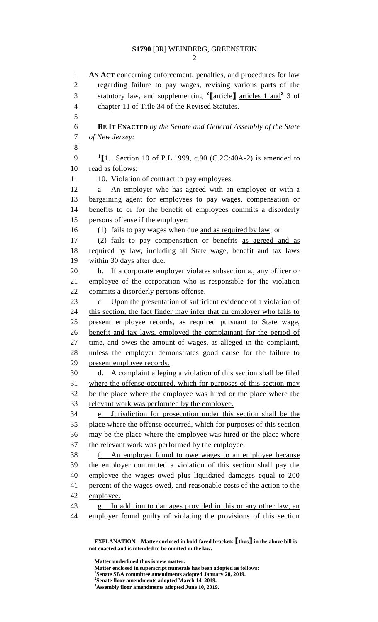**AN ACT** concerning enforcement, penalties, and procedures for law regarding failure to pay wages, revising various parts of the statutory law, and supplementing **<sup>2</sup> [**article**]** articles 1 and**<sup>2</sup>** 3 of chapter 11 of Title 34 of the Revised Statutes. **BE IT ENACTED** *by the Senate and General Assembly of the State of New Jersey:* **[**1. Section 10 of P.L.1999, c.90 (C.2C:40A-2) is amended to read as follows: 11 10. Violation of contract to pay employees. a. An employer who has agreed with an employee or with a bargaining agent for employees to pay wages, compensation or benefits to or for the benefit of employees commits a disorderly persons offense if the employer: (1) fails to pay wages when due and as required by law; or (2) fails to pay compensation or benefits as agreed and as required by law, including all State wage, benefit and tax laws within 30 days after due. b. If a corporate employer violates subsection a., any officer or employee of the corporation who is responsible for the violation commits a disorderly persons offense. c. Upon the presentation of sufficient evidence of a violation of 24 this section, the fact finder may infer that an employer who fails to present employee records, as required pursuant to State wage, benefit and tax laws, employed the complainant for the period of time, and owes the amount of wages, as alleged in the complaint, unless the employer demonstrates good cause for the failure to present employee records. d. A complaint alleging a violation of this section shall be filed where the offense occurred, which for purposes of this section may be the place where the employee was hired or the place where the relevant work was performed by the employee. e. Jurisdiction for prosecution under this section shall be the place where the offense occurred, which for purposes of this section may be the place where the employee was hired or the place where the relevant work was performed by the employee. f. An employer found to owe wages to an employee because the employer committed a violation of this section shall pay the employee the wages owed plus liquidated damages equal to 200 percent of the wages owed, and reasonable costs of the action to the employee. g. In addition to damages provided in this or any other law, an employer found guilty of violating the provisions of this section

**EXPLANATION – Matter enclosed in bold-faced brackets [thus] in the above bill is not enacted and is intended to be omitted in the law.**

**Matter underlined thus is new matter.**

- **Matter enclosed in superscript numerals has been adopted as follows:**
- **Senate SBA committee amendments adopted January 28, 2019.**

**Assembly floor amendments adopted June 10, 2019.**

**Senate floor amendments adopted March 14, 2019.**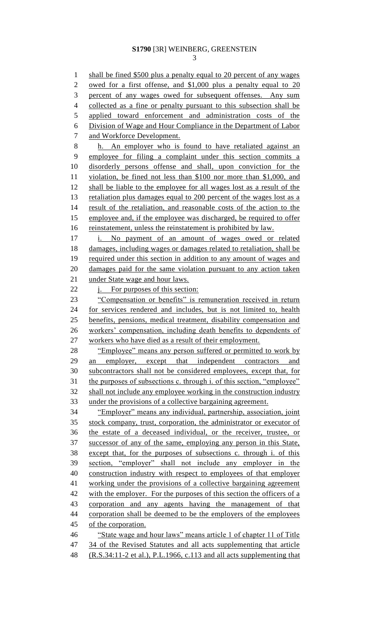shall be fined \$500 plus a penalty equal to 20 percent of any wages 2 owed for a first offense, and \$1,000 plus a penalty equal to 20 percent of any wages owed for subsequent offenses. Any sum 4 collected as a fine or penalty pursuant to this subsection shall be applied toward enforcement and administration costs of the Division of Wage and Hour Compliance in the Department of Labor and Workforce Development. h. An employer who is found to have retaliated against an employee for filing a complaint under this section commits a disorderly persons offense and shall, upon conviction for the violation, be fined not less than \$100 nor more than \$1,000, and shall be liable to the employee for all wages lost as a result of the 13 retaliation plus damages equal to 200 percent of the wages lost as a result of the retaliation, and reasonable costs of the action to the 15 employee and, if the employee was discharged, be required to offer 16 reinstatement, unless the reinstatement is prohibited by law. i. No payment of an amount of wages owed or related damages, including wages or damages related to retaliation, shall be required under this section in addition to any amount of wages and damages paid for the same violation pursuant to any action taken under State wage and hour laws. 22 i. For purposes of this section: 23 "Compensation or benefits" is remuneration received in return for services rendered and includes, but is not limited to, health benefits, pensions, medical treatment, disability compensation and workers' compensation, including death benefits to dependents of workers who have died as a result of their employment. 28 "Employee" means any person suffered or permitted to work by 29 an employer, except that independent contractors and subcontractors shall not be considered employees, except that, for 31 the purposes of subsections c. through i. of this section, "employee" shall not include any employee working in the construction industry under the provisions of a collective bargaining agreement. "Employer" means any individual, partnership, association, joint stock company, trust, corporation, the administrator or executor of the estate of a deceased individual, or the receiver, trustee, or successor of any of the same, employing any person in this State, except that, for the purposes of subsections c. through i. of this section, "employer" shall not include any employer in the construction industry with respect to employees of that employer working under the provisions of a collective bargaining agreement with the employer. For the purposes of this section the officers of a corporation and any agents having the management of that corporation shall be deemed to be the employers of the employees of the corporation. "State wage and hour laws" means article 1 of chapter 11 of Title 34 of the Revised Statutes and all acts supplementing that article (R.S.34:11-2 et al.), P.L.1966, c.113 and all acts supplementing that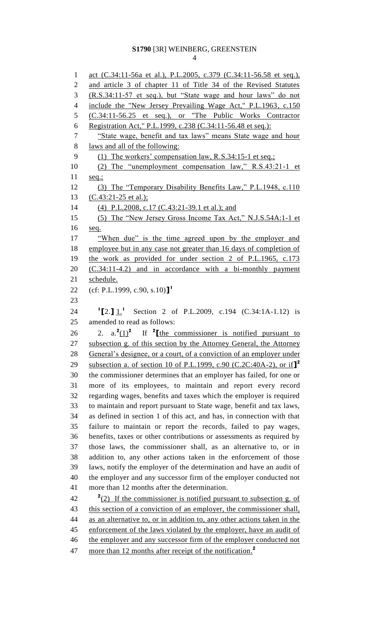act (C.34:11-56a et al.), P.L.2005, c.379 (C.34:11-56.58 et seq.), and article 3 of chapter 11 of Title 34 of the Revised Statutes (R.S.34:11-57 et seq.), but "State wage and hour laws" do not 4 include the "New Jersey Prevailing Wage Act," P.L.1963, c.150 (C.34:11-56.25 et seq.), or "The Public Works Contractor 6 Registration Act," P.L.1999, c.238 (C.34:11-56.48 et seq.): "State wage, benefit and tax laws" means State wage and hour laws and all of the following: (1) The workers' compensation law, R.S.34:15-1 et seq.; (2) The "unemployment compensation law," R.S.43:21-1 et seq.; (3) The "Temporary Disability Benefits Law," P.L.1948, c.110 (C.43:21-25 et al.); (4) P.L.2008, c.17 (C.43:21-39.1 et al.); and (5) The "New Jersey Gross Income Tax Act," N.J.S.54A:1-1 et seq. 17 "When due" is the time agreed upon by the employer and employee but in any case not greater than 16 days of completion of the work as provided for under section 2 of P.L.1965, c.173 (C.34:11-4.2) and in accordance with a bi-monthly payment schedule. (cf: P.L.1999, c.90, s.10)**] 1 [**2.**]** 1.**<sup>1</sup>** Section 2 of P.L.2009, c.194 (C.34:1A-1.12) is amended to read as follows: 2.  $a \cdot \frac{2(1)^2}{2}$ **2.**  $a \cdot \frac{2(1)^2}{\pi}$  If  $\frac{2 \cdot \pi}{\pi}$  is notified pursuant to subsection g. of this section by the Attorney General, the Attorney General's designee, or a court, of a conviction of an employer under subsection a. of section 10 of P.L.1999, c.90 (C.2C:40A-2), or if**] 2** the commissioner determines that an employer has failed, for one or more of its employees, to maintain and report every record regarding wages, benefits and taxes which the employer is required to maintain and report pursuant to State wage, benefit and tax laws, as defined in section 1 of this act, and has, in connection with that failure to maintain or report the records, failed to pay wages, benefits, taxes or other contributions or assessments as required by those laws, the commissioner shall, as an alternative to, or in addition to, any other actions taken in the enforcement of those laws, notify the employer of the determination and have an audit of the employer and any successor firm of the employer conducted not more than 12 months after the determination.  $\frac{2(2)}{1}$  If the commissioner is notified pursuant to subsection g. of this section of a conviction of an employer, the commissioner shall, as an alternative to, or in addition to, any other actions taken in the 45 enforcement of the laws violated by the employer, have an audit of 46 the employer and any successor firm of the employer conducted not more than 12 months after receipt of the notification. **2**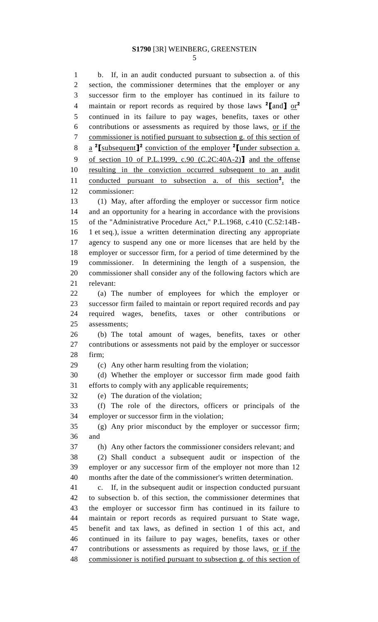b. If, in an audit conducted pursuant to subsection a. of this section, the commissioner determines that the employer or any successor firm to the employer has continued in its failure to maintain or report records as required by those laws **<sup>2</sup> [**and**]** or**<sup>2</sup>** continued in its failure to pay wages, benefits, taxes or other contributions or assessments as required by those laws, or if the commissioner is notified pursuant to subsection g. of this section of a **2 [**subsequent**] 2** conviction of the employer **<sup>2</sup> [**under subsection a. of section 10 of P.L.1999, c.90 (C.2C:40A-2)**]** and the offense resulting in the conviction occurred subsequent to an audit 11 conducted pursuant to subsection a. of this section<sup>2</sup>, the commissioner: (1) May, after affording the employer or successor firm notice and an opportunity for a hearing in accordance with the provisions of the "Administrative Procedure Act," P.L.1968, c.410 (C.52:14B- 1 et seq.), issue a written determination directing any appropriate agency to suspend any one or more licenses that are held by the employer or successor firm, for a period of time determined by the commissioner. In determining the length of a suspension, the commissioner shall consider any of the following factors which are relevant: (a) The number of employees for which the employer or successor firm failed to maintain or report required records and pay required wages, benefits, taxes or other contributions or assessments; (b) The total amount of wages, benefits, taxes or other contributions or assessments not paid by the employer or successor firm; (c) Any other harm resulting from the violation; (d) Whether the employer or successor firm made good faith efforts to comply with any applicable requirements;

(e) The duration of the violation;

 (f) The role of the directors, officers or principals of the employer or successor firm in the violation;

 (g) Any prior misconduct by the employer or successor firm; and

(h) Any other factors the commissioner considers relevant; and

 (2) Shall conduct a subsequent audit or inspection of the employer or any successor firm of the employer not more than 12 months after the date of the commissioner's written determination.

 c. If, in the subsequent audit or inspection conducted pursuant to subsection b. of this section, the commissioner determines that the employer or successor firm has continued in its failure to maintain or report records as required pursuant to State wage, benefit and tax laws, as defined in section 1 of this act, and continued in its failure to pay wages, benefits, taxes or other contributions or assessments as required by those laws, or if the commissioner is notified pursuant to subsection g. of this section of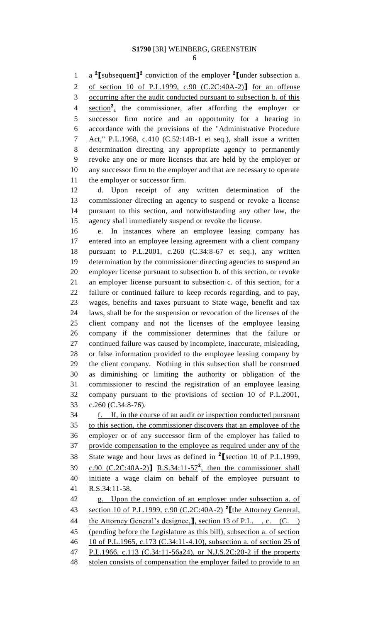1 **a** <sup>2</sup>[subsequent]<sup>2</sup> conviction of the employer <sup>2</sup>[under subsection a.

of section 10 of P.L.1999, c.90 (C.2C:40A-2)**]** for an offense

occurring after the audit conducted pursuant to subsection b. of this

4 section<sup>2</sup>, the commissioner, after affording the employer or successor firm notice and an opportunity for a hearing in accordance with the provisions of the "Administrative Procedure Act," P.L.1968, c.410 (C.52:14B-1 et seq.), shall issue a written determination directing any appropriate agency to permanently revoke any one or more licenses that are held by the employer or any successor firm to the employer and that are necessary to operate the employer or successor firm.

 d. Upon receipt of any written determination of the commissioner directing an agency to suspend or revoke a license pursuant to this section, and notwithstanding any other law, the agency shall immediately suspend or revoke the license.

 e. In instances where an employee leasing company has entered into an employee leasing agreement with a client company pursuant to P.L.2001, c.260 (C.34:8-67 et seq.), any written determination by the commissioner directing agencies to suspend an employer license pursuant to subsection b. of this section, or revoke an employer license pursuant to subsection c. of this section, for a failure or continued failure to keep records regarding, and to pay, wages, benefits and taxes pursuant to State wage, benefit and tax laws, shall be for the suspension or revocation of the licenses of the client company and not the licenses of the employee leasing company if the commissioner determines that the failure or continued failure was caused by incomplete, inaccurate, misleading, or false information provided to the employee leasing company by the client company. Nothing in this subsection shall be construed as diminishing or limiting the authority or obligation of the commissioner to rescind the registration of an employee leasing company pursuant to the provisions of section 10 of P.L.2001, c.260 (C.34:8-76).

 f. If, in the course of an audit or inspection conducted pursuant to this section, the commissioner discovers that an employee of the employer or of any successor firm of the employer has failed to provide compensation to the employee as required under any of the State wage and hour laws as defined in **<sup>2</sup> [**section 10 of P.L.1999,  $c.90$  (C.2C:40A-2)**]** R.S.34:11-57<sup>2</sup>, then the commissioner shall initiate a wage claim on behalf of the employee pursuant to R.S.34:11-58. g. Upon the conviction of an employer under subsection a. of section 10 of P.L.1999, c.90 (C.2C:40A-2) **<sup>2</sup> [**the Attorney General, the Attorney General's designee,**]**, section 13 of P.L. , c. (C. ) (pending before the Legislature as this bill), subsection a. of section 10 of P.L.1965, c.173 (C.34:11-4.10), subsection a. of section 25 of P.L.1966, c.113 (C.34:11-56a24), or N.J.S.2C:20-2 if the property 48 stolen consists of compensation the employer failed to provide to an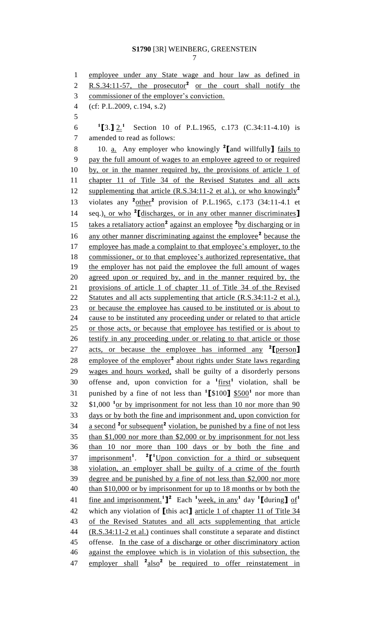employee under any State wage and hour law as defined in 2 R.S.34:11-57, the prosecutor<sup>2</sup> or the court shall notify the commissioner of the employer's conviction. (cf: P.L.2009, c.194, s.2) **1 [**3.**]** 2.**<sup>1</sup>** Section 10 of P.L.1965, c.173 (C.34:11-4.10) is amended to read as follows: 10. a. Any employer who knowingly **<sup>2</sup> [**and willfully**]** fails to pay the full amount of wages to an employee agreed to or required by, or in the manner required by, the provisions of article 1 of chapter 11 of Title 34 of the Revised Statutes and all acts supplementing that article (R.S.34:11-2 et al.), or who knowingly**<sup>2</sup>** 13 violates any  $\frac{2 \text{other}}{2}$  provision of P.L.1965, c.173 (34:11-4.1 et 14 seq.), or who <sup>2</sup>[discharges, or in any other manner discriminates] 15 takes a retaliatory action<sup>2</sup> against an employee <sup>2</sup> by discharging or in 16 any other manner discriminating against the employee<sup>2</sup> because the employee has made a complaint to that employee's employer, to the commissioner, or to that employee's authorized representative, that the employer has not paid the employee the full amount of wages agreed upon or required by, and in the manner required by, the provisions of article 1 of chapter 11 of Title 34 of the Revised 22 Statutes and all acts supplementing that article (R.S.34:11-2 et al.), 23 or because the employee has caused to be instituted or is about to cause to be instituted any proceeding under or related to that article or those acts, or because that employee has testified or is about to 26 testify in any proceeding under or relating to that article or those acts, or because the employee has informed any **<sup>2</sup> [**person**]** 28 employee of the employer<sup>2</sup> about rights under State laws regarding wages and hours worked, shall be guilty of a disorderly persons 30 offense and, upon conviction for a  $^1$ first<sup>1</sup> violation, shall be punished by a fine of not less than **<sup>1</sup> [**\$100**]** \$500**<sup>1</sup>** nor more than  $32\quad$  \$1,000  $<sup>1</sup>$ <sub>O</sub>r by imprisonment for not less than 10 nor more than 90</sup> days or by both the fine and imprisonment and, upon conviction for 34 a second <sup>2</sup> or subsequent<sup>2</sup> violation, be punished by a fine of not less than \$1,000 nor more than \$2,000 or by imprisonment for not less than 10 nor more than 100 days or by both the fine and 37 imprisonment<sup>1</sup>. <sup>2</sup>[<sup>1</sup>Upon conviction for a third or subsequent violation, an employer shall be guilty of a crime of the fourth degree and be punished by a fine of not less than \$2,000 nor more 40 than \$10,000 or by imprisonment for up to 18 months or by both the fine and imprisonment.<sup>1</sup><sup>2</sup> Each <sup>1</sup> week, in any<sup>1</sup> day <sup>1</sup><sup>1</sup> [during ] of<sup>1</sup> which any violation of **[**this act**]** article 1 of chapter 11 of Title 34 of the Revised Statutes and all acts supplementing that article (R.S.34:11-2 et al.) continues shall constitute a separate and distinct offense. In the case of a discharge or other discriminatory action against the employee which is in violation of this subsection, the 47 employer shall <sup>2</sup> also<sup>2</sup> be required to offer reinstatement in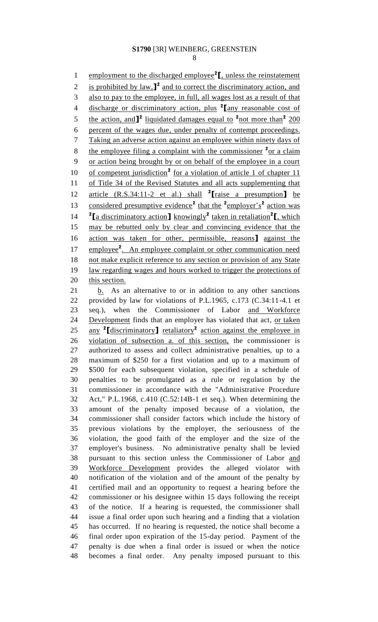1 employment to the discharged employee<sup>2</sup><sub>L</sub>, unless the reinstatement 2 is prohibited by law,  $\int^2$  and to correct the discriminatory action, and also to pay to the employee, in full, all wages lost as a result of that discharge or discriminatory action, plus **<sup>2</sup> [**any reasonable cost of 5 the action, and  $\mathbf{I}^2$  liquidated damages equal to <sup>2</sup> not more than<sup>2</sup> 200 percent of the wages due, under penalty of contempt proceedings. Taking an adverse action against an employee within ninety days of 8 the employee filing a complaint with the commissioner <sup>2</sup> or a claim or action being brought by or on behalf of the employee in a court 10 of competent jurisdiction<sup>2</sup> for a violation of article 1 of chapter 11 of Title 34 of the Revised Statutes and all acts supplementing that article (R.S.34:11-2 et al.) shall **<sup>2</sup> [**raise a presumption**]** be 13 considered presumptive evidence<sup>2</sup> that the <sup>2</sup>employer's<sup>2</sup> action was 14  ${}^{2}$ **[**a discriminatory action] knowingly<sup>2</sup> taken in retaliation<sup>2</sup>**[**, which may be rebutted only by clear and convincing evidence that the action was taken for other, permissible, reasons**]** against the 17 employee<sup>2</sup>. An employee complaint or other communication need 18 not make explicit reference to any section or provision of any State law regarding wages and hours worked to trigger the protections of 20 this section. 21 b. As an alternative to or in addition to any other sanctions

 provided by law for violations of P.L.1965, c.173 (C.34:11-4.1 et seq.), when the Commissioner of Labor and Workforce 24 Development finds that an employer has violated that act, or taken 25 any <sup>2</sup>[discriminatory] retaliatory<sup>2</sup> action against the employee in violation of subsection a. of this section, the commissioner is authorized to assess and collect administrative penalties, up to a maximum of \$250 for a first violation and up to a maximum of \$500 for each subsequent violation, specified in a schedule of penalties to be promulgated as a rule or regulation by the commissioner in accordance with the "Administrative Procedure Act," P.L.1968, c.410 (C.52:14B-1 et seq.). When determining the amount of the penalty imposed because of a violation, the commissioner shall consider factors which include the history of previous violations by the employer, the seriousness of the violation, the good faith of the employer and the size of the employer's business. No administrative penalty shall be levied pursuant to this section unless the Commissioner of Labor and Workforce Development provides the alleged violator with notification of the violation and of the amount of the penalty by certified mail and an opportunity to request a hearing before the commissioner or his designee within 15 days following the receipt of the notice. If a hearing is requested, the commissioner shall issue a final order upon such hearing and a finding that a violation has occurred. If no hearing is requested, the notice shall become a final order upon expiration of the 15-day period. Payment of the penalty is due when a final order is issued or when the notice becomes a final order. Any penalty imposed pursuant to this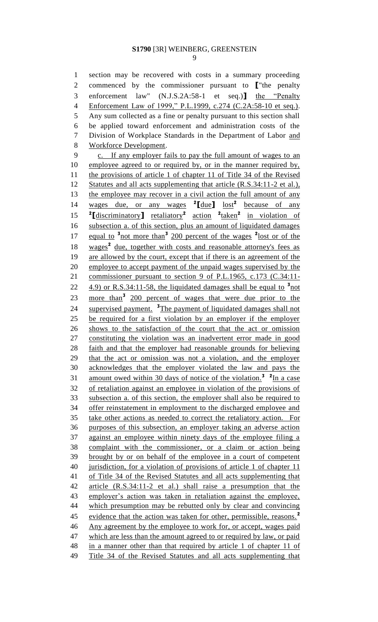section may be recovered with costs in a summary proceeding commenced by the commissioner pursuant to **[**"the penalty enforcement law" (N.J.S.2A:58-1 et seq.)**]** the "Penalty Enforcement Law of 1999," P.L.1999, c.274 (C.2A:58-10 et seq.). Any sum collected as a fine or penalty pursuant to this section shall be applied toward enforcement and administration costs of the Division of Workplace Standards in the Department of Labor and Workforce Development. c. If any employer fails to pay the full amount of wages to an employee agreed to or required by, or in the manner required by, 11 the provisions of article 1 of chapter 11 of Title 34 of the Revised Statutes and all acts supplementing that article (R.S.34:11-2 et al.), the employee may recover in a civil action the full amount of any wages due, or any wages **<sup>2</sup> [**due**]** lost**<sup>2</sup>** because of any **[**discriminatory**]** retaliatory**<sup>2</sup>** action **<sup>2</sup>** taken**<sup>2</sup>** in violation of subsection a. of this section, plus an amount of liquidated damages 17 equal to <sup>3</sup> not more than<sup>3</sup> 200 percent of the wages <sup>2</sup> lost or of the 18 wages<sup>2</sup> due, together with costs and reasonable attorney's fees as are allowed by the court, except that if there is an agreement of the employee to accept payment of the unpaid wages supervised by the commissioner pursuant to section 9 of P.L.1965, c.173 (C.34:11-  $\pm$  4.9) or R.S.34:11-58, the liquidated damages shall be equal to  $\frac{3}{2}$  not 23 more than<sup>3</sup> 200 percent of wages that were due prior to the 24 supervised payment. <sup>3</sup>The payment of liquidated damages shall not be required for a first violation by an employer if the employer shows to the satisfaction of the court that the act or omission constituting the violation was an inadvertent error made in good faith and that the employer had reasonable grounds for believing that the act or omission was not a violation, and the employer acknowledges that the employer violated the law and pays the 31 amount owed within 30 days of notice of the violation.<sup>3</sup> <sup>2</sup>In a case of retaliation against an employee in violation of the provisions of subsection a. of this section, the employer shall also be required to offer reinstatement in employment to the discharged employee and take other actions as needed to correct the retaliatory action. For purposes of this subsection, an employer taking an adverse action against an employee within ninety days of the employee filing a complaint with the commissioner, or a claim or action being brought by or on behalf of the employee in a court of competent jurisdiction, for a violation of provisions of article 1 of chapter 11 of Title 34 of the Revised Statutes and all acts supplementing that article (R.S.34:11-2 et al.) shall raise a presumption that the employer's action was taken in retaliation against the employee, which presumption may be rebutted only by clear and convincing 45 evidence that the action was taken for other, permissible, reasons.<sup>2</sup> Any agreement by the employee to work for, or accept, wages paid 47 which are less than the amount agreed to or required by law, or paid in a manner other than that required by article 1 of chapter 11 of Title 34 of the Revised Statutes and all acts supplementing that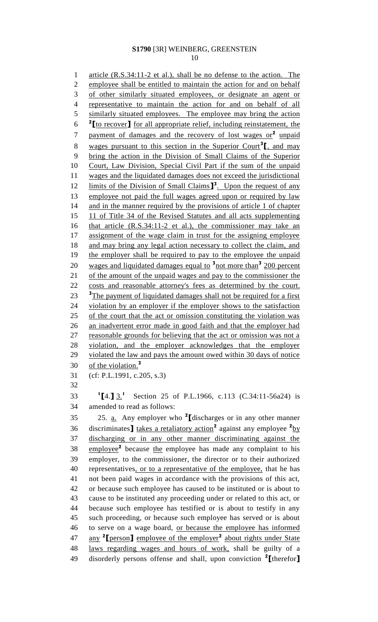1 article (R.S.34:11-2 et al.), shall be no defense to the action. The employee shall be entitled to maintain the action for and on behalf of other similarly situated employees, or designate an agent or 4 representative to maintain the action for and on behalf of all 5 similarly situated employees. The employee may bring the action **2 [**to recover**]** for all appropriate relief, including reinstatement, the 7 payment of damages and the recovery of lost wages or<sup>2</sup> unpaid 8 wages pursuant to this section in the Superior Court<sup>3</sup><sup>[</sup>, and may bring the action in the Division of Small Claims of the Superior Court, Law Division, Special Civil Part if the sum of the unpaid wages and the liquidated damages does not exceed the jurisdictional 12 limits of the Division of Small Claims<sup>1</sup><sup>3</sup>. Upon the request of any employee not paid the full wages agreed upon or required by law 14 and in the manner required by the provisions of article 1 of chapter 11 of Title 34 of the Revised Statutes and all acts supplementing 16 that article (R.S.34:11-2 et al.), the commissioner may take an assignment of the wage claim in trust for the assigning employee 18 and may bring any legal action necessary to collect the claim, and 19 the employer shall be required to pay to the employee the unpaid 20 wages and liquidated damages equal to <sup>3</sup> not more than<sup>3</sup> 200 percent of the amount of the unpaid wages and pay to the commissioner the costs and reasonable attorney's fees as determined by the court. <sup>3</sup>The payment of liquidated damages shall not be required for a first violation by an employer if the employer shows to the satisfaction 25 of the court that the act or omission constituting the violation was an inadvertent error made in good faith and that the employer had reasonable grounds for believing that the act or omission was not a violation, and the employer acknowledges that the employer violated the law and pays the amount owed within 30 days of notice of the violation. **3** (cf: P.L.1991, c.205, s.3)

**1 [**4.**]** 3.**<sup>1</sup>** Section 25 of P.L.1966, c.113 (C.34:11-56a24) is amended to read as follows:

25. a. Any employer who **<sup>2</sup> [**discharges or in any other manner 36 discriminates **]** takes a retaliatory action<sup>2</sup> against any employee <sup>2</sup>by discharging or in any other manner discriminating against the 38 employee<sup>2</sup> because the employee has made any complaint to his employer, to the commissioner, the director or to their authorized representatives, or to a representative of the employee, that he has not been paid wages in accordance with the provisions of this act, or because such employee has caused to be instituted or is about to cause to be instituted any proceeding under or related to this act, or because such employee has testified or is about to testify in any such proceeding, or because such employee has served or is about to serve on a wage board, or because the employee has informed any **<sup>2</sup> [**person**]** employee of the employer**<sup>2</sup>** about rights under State laws regarding wages and hours of work, shall be guilty of a disorderly persons offense and shall, upon conviction **<sup>2</sup> [**therefor**]**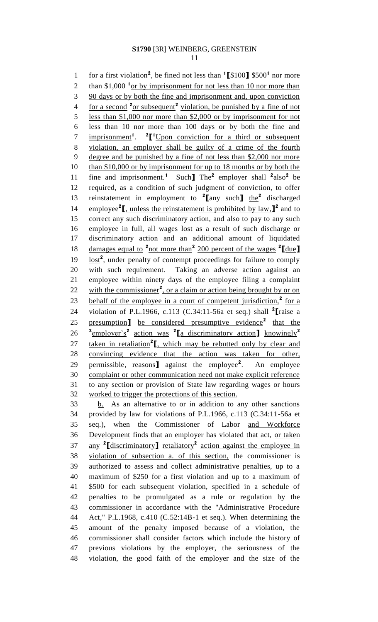1 for a first violation<sup>2</sup>, be fined not less than  $\binom{1}{3}100$   $\frac{1}{3}500^1$  nor more 2 than \$1,000 <sup>1</sup> or by imprisonment for not less than 10 nor more than 90 days or by both the fine and imprisonment and, upon conviction 4 for a second <sup>2</sup><sub>or subsequent</sub><sup>2</sup> violation, be punished by a fine of not less than \$1,000 nor more than \$2,000 or by imprisonment for not less than 10 nor more than 100 days or by both the fine and 7 imprisonment<sup>1</sup>. <sup>2</sup><sup>[1</sup>Upon conviction for a third or subsequent violation, an employer shall be guilty of a crime of the fourth degree and be punished by a fine of not less than \$2,000 nor more 10 than \$10,000 or by imprisonment for up to 18 months or by both the 11 fine and imprisonment.<sup>1</sup> Such] The<sup>2</sup> employer shall <sup>2</sup>also<sup>2</sup> be required, as a condition of such judgment of conviction, to offer 13 reinstatement in employment to <sup>2</sup>[any such] the<sup>2</sup> discharged 14 employee<sup>2</sup>**[**, unless the reinstatement is prohibited by  $\text{law}, \textbf{J}^2$  and to correct any such discriminatory action, and also to pay to any such employee in full, all wages lost as a result of such discharge or discriminatory action and an additional amount of liquidated 18 damages equal to <sup>2</sup> not more than<sup>2</sup> 200 percent of the wages <sup>2</sup>[due] 19 lost<sup>2</sup>, under penalty of contempt proceedings for failure to comply with such requirement. Taking an adverse action against an employee within ninety days of the employee filing a complaint 22 with the commissioner<sup>2</sup>, or a claim or action being brought by or on 23 behalf of the employee in a court of competent jurisdiction,<sup>2</sup> for a violation of P.L.1966, c.113 (C.34:11-56a et seq.) shall **<sup>2</sup> [**raise a 25 presumption<sub>1</sub> be considered presumptive evidence<sup>2</sup> that the employer's**<sup>2</sup>** action was **2 [**a discriminatory action**]** knowingly**<sup>2</sup>** 27 taken in retaliation<sup>2</sup><sub>I</sub>, which may be rebutted only by clear and convincing evidence that the action was taken for other, 29 permissible, reasons<sup>1</sup> against the employee<sup>2</sup>. An employee complaint or other communication need not make explicit reference to any section or provision of State law regarding wages or hours worked to trigger the protections of this section. b. As an alternative to or in addition to any other sanctions provided by law for violations of P.L.1966, c.113 (C.34:11-56a et seq.), when the Commissioner of Labor and Workforce Development finds that an employer has violated that act, or taken any **<sup>2</sup> [**discriminatory**]** retaliatory**<sup>2</sup>** action against the employee in violation of subsection a. of this section, the commissioner is authorized to assess and collect administrative penalties, up to a maximum of \$250 for a first violation and up to a maximum of \$500 for each subsequent violation, specified in a schedule of penalties to be promulgated as a rule or regulation by the commissioner in accordance with the "Administrative Procedure Act," P.L.1968, c.410 (C.52:14B-1 et seq.). When determining the amount of the penalty imposed because of a violation, the commissioner shall consider factors which include the history of previous violations by the employer, the seriousness of the violation, the good faith of the employer and the size of the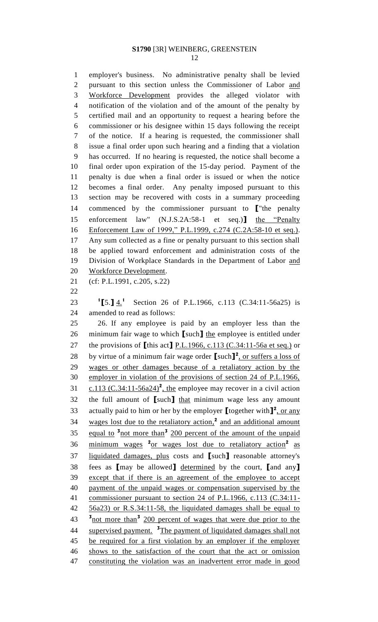employer's business. No administrative penalty shall be levied pursuant to this section unless the Commissioner of Labor and Workforce Development provides the alleged violator with notification of the violation and of the amount of the penalty by certified mail and an opportunity to request a hearing before the commissioner or his designee within 15 days following the receipt of the notice. If a hearing is requested, the commissioner shall issue a final order upon such hearing and a finding that a violation has occurred. If no hearing is requested, the notice shall become a final order upon expiration of the 15-day period. Payment of the penalty is due when a final order is issued or when the notice becomes a final order. Any penalty imposed pursuant to this section may be recovered with costs in a summary proceeding commenced by the commissioner pursuant to **[**"the penalty enforcement law" (N.J.S.2A:58-1 et seq.)**]** the "Penalty Enforcement Law of 1999," P.L.1999, c.274 (C.2A:58-10 et seq.). Any sum collected as a fine or penalty pursuant to this section shall be applied toward enforcement and administration costs of the Division of Workplace Standards in the Department of Labor and Workforce Development. (cf: P.L.1991, c.205, s.22)  $^{1}$ [5.]  $4.1$ 23 <sup>1</sup>[5.] 4.<sup>1</sup> Section 26 of P.L.1966, c.113 (C.34:11-56a25) is amended to read as follows: 26. If any employee is paid by an employer less than the minimum fair wage to which **[**such**]** the employee is entitled under the provisions of **[**this act**]** P.L.1966, c.113 (C.34:11-56a et seq.) or 28 by virtue of a minimum fair wage order  $\left[\text{such}\right]^2$ , or suffers a loss of wages or other damages because of a retaliatory action by the employer in violation of the provisions of section 24 of P.L.1966, 31 c.113  $(C.34:11-56a24)^2$ , the employee may recover in a civil action the full amount of **[**such**]** that minimum wage less any amount 33 actually paid to him or her by the employer  $\left[\text{together with}\right]^2$ , or any 34 wages lost due to the retaliatory action,<sup>2</sup> and an additional amount 35 equal to <sup>3</sup> not more than<sup>3</sup> 200 percent of the amount of the unpaid 36 minimum wages <sup>2</sup> or wages lost due to retaliatory action<sup>2</sup> as liquidated damages, plus costs and **[**such**]** reasonable attorney's fees as **[**may be allowed**]** determined by the court, **[**and any**]** except that if there is an agreement of the employee to accept

 payment of the unpaid wages or compensation supervised by the commissioner pursuant to section 24 of P.L.1966, c.113 (C.34:11- 56a23) or R.S.34:11-58, the liquidated damages shall be equal to not more than**<sup>3</sup>** 200 percent of wages that were due prior to the 44 supervised payment. <sup>3</sup>The payment of liquidated damages shall not be required for a first violation by an employer if the employer shows to the satisfaction of the court that the act or omission constituting the violation was an inadvertent error made in good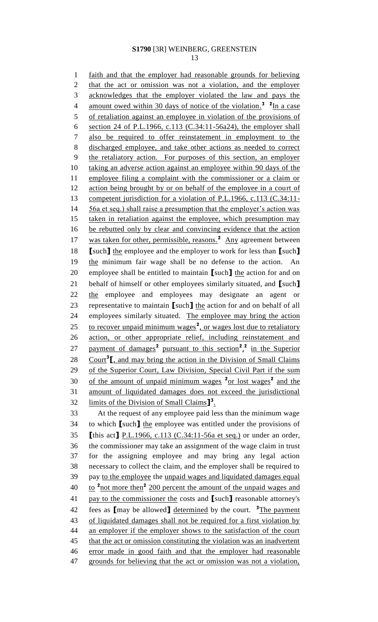faith and that the employer had reasonable grounds for believing 2 that the act or omission was not a violation, and the employer acknowledges that the employer violated the law and pays the 4 amount owed within 30 days of notice of the violation.<sup>3</sup> <sup>2</sup>In a case of retaliation against an employee in violation of the provisions of section 24 of P.L.1966, c.113 (C.34:11-56a24), the employer shall also be required to offer reinstatement in employment to the discharged employee, and take other actions as needed to correct the retaliatory action. For purposes of this section, an employer taking an adverse action against an employee within 90 days of the employee filing a complaint with the commissioner or a claim or 12 action being brought by or on behalf of the employee in a court of competent jurisdiction for a violation of P.L.1966, c.113 (C.34:11- 14 56a et seq.) shall raise a presumption that the employer's action was taken in retaliation against the employee, which presumption may be rebutted only by clear and convincing evidence that the action 17 was taken for other, permissible, reasons.<sup>2</sup> Any agreement between **[**such**]** the employee and the employer to work for less than **[**such**]** the minimum fair wage shall be no defense to the action. An employee shall be entitled to maintain **[**such**]** the action for and on behalf of himself or other employees similarly situated, and **[**such**]** 22 the employee and employees may designate an agent or representative to maintain **[**such**]** the action for and on behalf of all employees similarly situated. The employee may bring the action 25 to recover unpaid minimum wages<sup>2</sup>, or wages lost due to retaliatory action, or other appropriate relief, including reinstatement and 27 payment of damages<sup>2</sup> pursuant to this section<sup>2</sup><sup>2</sup>, in the Superior 28 Court<sup>3</sup><sub>L</sub>, and may bring the action in the Division of Small Claims of the Superior Court, Law Division, Special Civil Part if the sum 30 of the amount of unpaid minimum wages <sup>2</sup> or lost wages<sup>2</sup> and the amount of liquidated damages does not exceed the jurisdictional 32 limits of the Division of Small Claims<sup>1</sup><sup>3</sup>. At the request of any employee paid less than the minimum wage to which **[**such**]** the employee was entitled under the provisions of **[**this act**]** P.L.1966, c.113 (C.34:11-56a et seq.) or under an order, the commissioner may take an assignment of the wage claim in trust for the assigning employee and may bring any legal action necessary to collect the claim, and the employer shall be required to pay to the employee the unpaid wages and liquidated damages equal  $\frac{10}{200}$  to  $\frac{2 \text{ not more then}}{200}$  percent the amount of the unpaid wages and pay to the commissioner the costs and **[**such**]** reasonable attorney's 42 fees as **[**may be allowed**]** determined by the court. <sup>3</sup>The payment of liquidated damages shall not be required for a first violation by an employer if the employer shows to the satisfaction of the court 45 that the act or omission constituting the violation was an inadvertent error made in good faith and that the employer had reasonable grounds for believing that the act or omission was not a violation,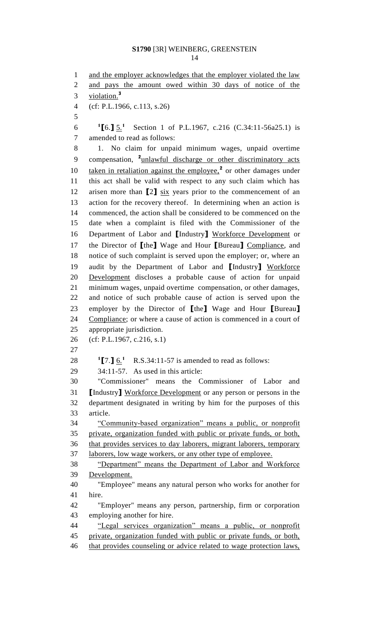1 and the employer acknowledges that the employer violated the law and pays the amount owed within 30 days of notice of the violation. **3** (cf: P.L.1966, c.113, s.26) **[**6.**]** 5.**<sup>1</sup>** Section 1 of P.L.1967, c.216 (C.34:11-56a25.1) is amended to read as follows: 1. No claim for unpaid minimum wages, unpaid overtime 9 compensation, <sup>2</sup>unlawful discharge or other discriminatory acts 10 taken in retaliation against the employee,<sup>2</sup> or other damages under this act shall be valid with respect to any such claim which has arisen more than **[**2**]** six years prior to the commencement of an action for the recovery thereof. In determining when an action is commenced, the action shall be considered to be commenced on the date when a complaint is filed with the Commissioner of the Department of Labor and **[**Industry**]** Workforce Development or the Director of **[**the**]** Wage and Hour **[**Bureau**]** Compliance, and notice of such complaint is served upon the employer; or, where an audit by the Department of Labor and **[**Industry**]** Workforce Development discloses a probable cause of action for unpaid minimum wages, unpaid overtime compensation, or other damages, and notice of such probable cause of action is served upon the employer by the Director of **[**the**]** Wage and Hour **[**Bureau**]** Compliance; or where a cause of action is commenced in a court of appropriate jurisdiction. (cf: P.L.1967, c.216, s.1) **[7.]**  $6.$ <sup>1</sup> R.S.34:11-57 is amended to read as follows: 34:11-57. As used in this article: "Commissioner" means the Commissioner of Labor and **[**Industry**]** Workforce Development or any person or persons in the department designated in writing by him for the purposes of this article. "Community-based organization" means a public, or nonprofit private, organization funded with public or private funds, or both, that provides services to day laborers, migrant laborers, temporary laborers, low wage workers, or any other type of employee. "Department" means the Department of Labor and Workforce Development. "Employee" means any natural person who works for another for hire. "Employer" means any person, partnership, firm or corporation employing another for hire. "Legal services organization" means a public, or nonprofit private, organization funded with public or private funds, or both,

46 that provides counseling or advice related to wage protection laws,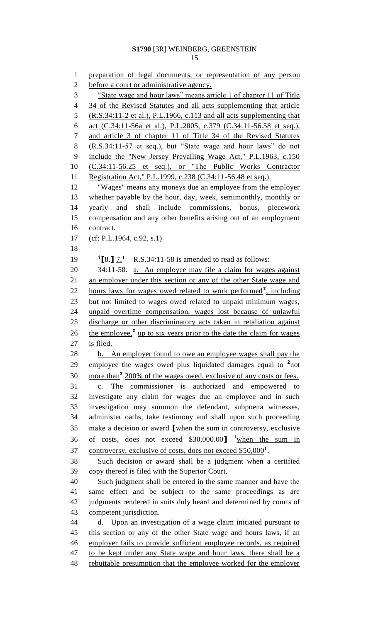preparation of legal documents, or representation of any person before a court or administrative agency. "State wage and hour laws" means article 1 of chapter 11 of Title 34 of the Revised Statutes and all acts supplementing that article (R.S.34:11-2 et al.), P.L.1966, c.113 and all acts supplementing that act (C.34:11-56a et al.), P.L.2005, c.379 (C.34:11-56.58 et seq.), and article 3 of chapter 11 of Title 34 of the Revised Statutes (R.S.34:11-57 et seq.), but "State wage and hour laws" do not include the "New Jersey Prevailing Wage Act," P.L.1963, c.150 (C.34:11-56.25 et seq.), or "The Public Works Contractor 11 Registration Act," P.L.1999, c.238 (C.34:11-56.48 et seq.). "Wages" means any moneys due an employee from the employer whether payable by the hour, day, week, semimonthly, monthly or yearly and shall include commissions, bonus, piecework compensation and any other benefits arising out of an employment contract. (cf: P.L.1964, c.92, s.1)  ${}^{1}$  [8.]  $7.{}^{1}$  R.S.34:11-58 is amended to read as follows: 34:11-58. a. An employee may file a claim for wages against an employer under this section or any of the other State wage and 22 hours laws for wages owed related to work performed<sup>2</sup>, including but not limited to wages owed related to unpaid minimum wages, unpaid overtime compensation, wages lost because of unlawful discharge or other discriminatory acts taken in retaliation against 26 the employee,<sup>2</sup> up to six years prior to the date the claim for wages is filed. 28 b. An employer found to owe an employee wages shall pay the 29 employee the wages owed plus liquidated damages equal to <sup>2</sup>not 30 more than<sup>2</sup> 200% of the wages owed, exclusive of any costs or fees. c. The commissioner is authorized and empowered to investigate any claim for wages due an employee and in such investigation may summon the defendant, subpoena witnesses, administer oaths, take testimony and shall upon such proceeding make a decision or award **[**when the sum in controversy, exclusive 36 of costs, does not exceed \$30,000.00<sup>1</sup> when the sum in 37 controversy, exclusive of costs, does not exceed \$50,000<sup>1</sup>. Such decision or award shall be a judgment when a certified copy thereof is filed with the Superior Court. Such judgment shall be entered in the same manner and have the same effect and be subject to the same proceedings as are judgments rendered in suits duly heard and determined by courts of competent jurisdiction. d. Upon an investigation of a wage claim initiated pursuant to 45 this section or any of the other State wage and hours laws, if an employer fails to provide sufficient employee records, as required to be kept under any State wage and hour laws, there shall be a rebuttable presumption that the employee worked for the employer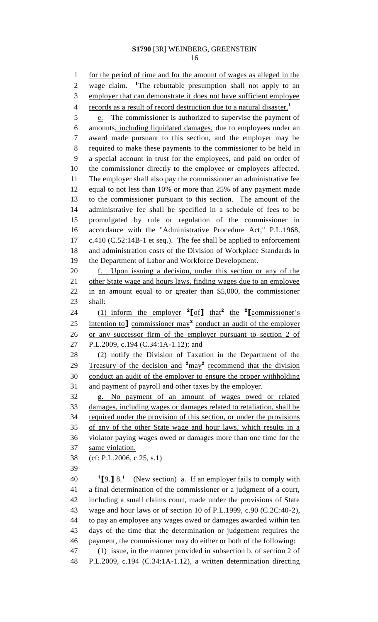for the period of time and for the amount of wages as alleged in the wage claim. 2 wage claim. <sup>1</sup>The rebuttable presumption shall not apply to an 3 employer that can demonstrate it does not have sufficient employee records as a result of record destruction due to a natural disaster.**<sup>1</sup>** 5 e. The commissioner is authorized to supervise the payment of amounts, including liquidated damages, due to employees under an award made pursuant to this section, and the employer may be required to make these payments to the commissioner to be held in a special account in trust for the employees, and paid on order of the commissioner directly to the employee or employees affected. The employer shall also pay the commissioner an administrative fee equal to not less than 10% or more than 25% of any payment made to the commissioner pursuant to this section. The amount of the administrative fee shall be specified in a schedule of fees to be promulgated by rule or regulation of the commissioner in accordance with the "Administrative Procedure Act," P.L.1968, c.410 (C.52:14B-1 et seq.). The fee shall be applied to enforcement and administration costs of the Division of Workplace Standards in the Department of Labor and Workforce Development. f. Upon issuing a decision, under this section or any of the 21 other State wage and hours laws, finding wages due to an employee in an amount equal to or greater than \$5,000, the commissioner shall: 24 (1) inform the employer  ${}^{2}$ [of] that<sup>2</sup> the <sup>2</sup>[commissioner's 25 intention to<sup>1</sup> commissioner may<sup>2</sup> conduct an audit of the employer or any successor firm of the employer pursuant to section 2 of 27 P.L.2009, c.194 (C.34:1A-1.12); and (2) notify the Division of Taxation in the Department of the 29 Treasury of the decision and <sup>2</sup>may<sup>2</sup> recommend that the division conduct an audit of the employer to ensure the proper withholding and payment of payroll and other taxes by the employer. g. No payment of an amount of wages owed or related damages, including wages or damages related to retaliation, shall be 34 required under the provision of this section, or under the provisions of any of the other State wage and hour laws, which results in a violator paying wages owed or damages more than one time for the same violation. (cf: P.L.2006, c.25, s.1)  $^{1}$ [9.] <u>8.</u><sup>1</sup>  $\frac{1}{2}$  [9.]  $\frac{8}{3}$  (New section) a. If an employer fails to comply with a final determination of the commissioner or a judgment of a court, including a small claims court, made under the provisions of State wage and hour laws or of section 10 of P.L.1999, c.90 (C.2C:40-2), to pay an employee any wages owed or damages awarded within ten days of the time that the determination or judgement requires the payment, the commissioner may do either or both of the following:

 (1) issue, in the manner provided in subsection b. of section 2 of P.L.2009, c.194 (C.34:1A-1.12), a written determination directing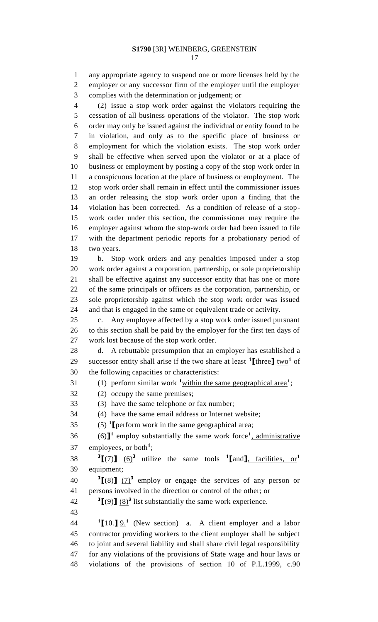any appropriate agency to suspend one or more licenses held by the employer or any successor firm of the employer until the employer complies with the determination or judgement; or

 (2) issue a stop work order against the violators requiring the cessation of all business operations of the violator. The stop work order may only be issued against the individual or entity found to be in violation, and only as to the specific place of business or employment for which the violation exists. The stop work order shall be effective when served upon the violator or at a place of business or employment by posting a copy of the stop work order in a conspicuous location at the place of business or employment. The stop work order shall remain in effect until the commissioner issues an order releasing the stop work order upon a finding that the violation has been corrected. As a condition of release of a stop- work order under this section, the commissioner may require the employer against whom the stop-work order had been issued to file with the department periodic reports for a probationary period of two years.

 b. Stop work orders and any penalties imposed under a stop work order against a corporation, partnership, or sole proprietorship shall be effective against any successor entity that has one or more of the same principals or officers as the corporation, partnership, or sole proprietorship against which the stop work order was issued and that is engaged in the same or equivalent trade or activity.

 c. Any employee affected by a stop work order issued pursuant to this section shall be paid by the employer for the first ten days of work lost because of the stop work order.

 d. A rebuttable presumption that an employer has established a successor entity shall arise if the two share at least  $\binom{1}{k}$  three  $\frac{1}{k}$  two<sup>1</sup> of the following capacities or characteristics:

(1) perform similar work **<sup>1</sup>**within the same geographical area**<sup>1</sup>** ;

(2) occupy the same premises;

(3) have the same telephone or fax number;

(4) have the same email address or Internet website;

(5) **<sup>1</sup> [**perform work in the same geographical area;

36 (6)<sup> $\mathbf{l}$ </sup> employ substantially the same work force<sup>1</sup>, administrative 37 <u>employees, or both</u><sup>1</sup>;

**3**  $[(7)$   $(6)$ <sup>**3**</sup> utilize the same tools **1** [and ], facilities, or 1 equipment;

 $3\left[\frac{8}{1}\right]$   $\left(\frac{7}{2}\right)^3$  employ or engage the services of any person or persons involved in the direction or control of the other; or

 $3\left[\frac{9}{2}\right]$   $\frac{8}{2}$ <sup>3</sup> list substantially the same work experience.

 **[**10.**]**  $9.$ <sup>1</sup> (New section) a. A client employer and a labor contractor providing workers to the client employer shall be subject to joint and several liability and shall share civil legal responsibility for any violations of the provisions of State wage and hour laws or violations of the provisions of section 10 of P.L.1999, c.90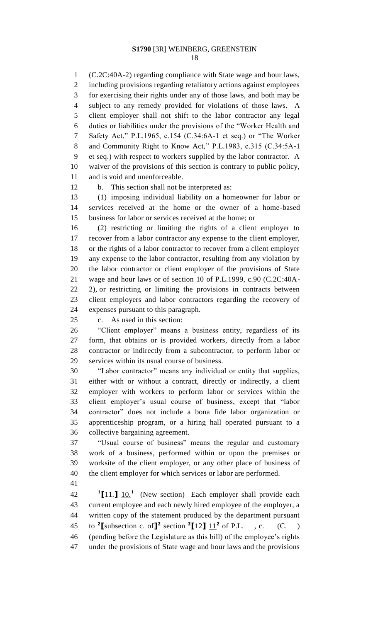(C.2C:40A-2) regarding compliance with State wage and hour laws, including provisions regarding retaliatory actions against employees for exercising their rights under any of those laws, and both may be subject to any remedy provided for violations of those laws. A client employer shall not shift to the labor contractor any legal duties or liabilities under the provisions of the "Worker Health and Safety Act," P.L.1965, c.154 (C.34:6A-1 et seq.) or "The Worker and Community Right to Know Act," P.L.1983, c.315 (C.34:5A-1 et seq.) with respect to workers supplied by the labor contractor. A waiver of the provisions of this section is contrary to public policy, and is void and unenforceable.

b. This section shall not be interpreted as:

 (1) imposing individual liability on a homeowner for labor or services received at the home or the owner of a home-based business for labor or services received at the home; or

 (2) restricting or limiting the rights of a client employer to recover from a labor contractor any expense to the client employer, or the rights of a labor contractor to recover from a client employer any expense to the labor contractor, resulting from any violation by the labor contractor or client employer of the provisions of State wage and hour laws or of section 10 of P.L.1999, c.90 (C.2C:40A- 2), or restricting or limiting the provisions in contracts between client employers and labor contractors regarding the recovery of expenses pursuant to this paragraph.

c. As used in this section:

 "Client employer" means a business entity, regardless of its form, that obtains or is provided workers, directly from a labor contractor or indirectly from a subcontractor, to perform labor or services within its usual course of business.

 "Labor contractor" means any individual or entity that supplies, either with or without a contract, directly or indirectly, a client employer with workers to perform labor or services within the client employer's usual course of business, except that "labor contractor" does not include a bona fide labor organization or apprenticeship program, or a hiring hall operated pursuant to a collective bargaining agreement.

 "Usual course of business" means the regular and customary work of a business, performed within or upon the premises or worksite of the client employer, or any other place of business of the client employer for which services or labor are performed.

 **[**11.**]** 10.**<sup>1</sup>** 42 (New section) Each employer shall provide each current employee and each newly hired employee of the employer, a written copy of the statement produced by the department pursuant 45 to <sup>2</sup>[subsection c. of]<sup>2</sup> section <sup>2</sup>[12]  $\frac{11^2}{12}$  of P.L. , c. (C. ) (pending before the Legislature as this bill) of the employee's rights under the provisions of State wage and hour laws and the provisions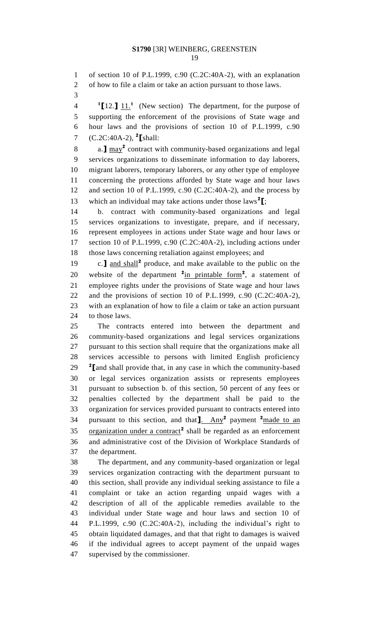of section 10 of P.L.1999, c.90 (C.2C:40A-2), with an explanation

of how to file a claim or take an action pursuant to those laws.

 **[**12.**]** 11.**<sup>1</sup>** 4 (New section) The department, for the purpose of supporting the enforcement of the provisions of State wage and hour laws and the provisions of section 10 of P.L.1999, c.90 (C.2C:40A-2), **<sup>2</sup> [**shall:

a.**]** may**<sup>2</sup>** contract with community-based organizations and legal services organizations to disseminate information to day laborers, migrant laborers, temporary laborers, or any other type of employee concerning the protections afforded by State wage and hour laws 12 and section 10 of P.L.1999, c.90 (C.2C:40A-2), and the process by 13 which an individual may take actions under those laws<sup>2</sup>[;

 b. contract with community-based organizations and legal services organizations to investigate, prepare, and if necessary, represent employees in actions under State wage and hour laws or section 10 of P.L.1999, c.90 (C.2C:40A-2), including actions under those laws concerning retaliation against employees; and

19 c.**]** and shall<sup>2</sup> produce, and make available to the public on the 20 website of the department  $2_{\text{in}}$  printable form<sup>2</sup>, a statement of employee rights under the provisions of State wage and hour laws and the provisions of section 10 of P.L.1999, c.90 (C.2C:40A-2), with an explanation of how to file a claim or take an action pursuant to those laws.

 The contracts entered into between the department and community-based organizations and legal services organizations pursuant to this section shall require that the organizations make all services accessible to persons with limited English proficiency **[**and shall provide that, in any case in which the community-based or legal services organization assists or represents employees pursuant to subsection b. of this section, 50 percent of any fees or penalties collected by the department shall be paid to the organization for services provided pursuant to contracts entered into 34 pursuant to this section, and that 1. Any<sup>2</sup> payment <sup>2</sup> made to an 35 organization under a contract<sup>2</sup> shall be regarded as an enforcement and administrative cost of the Division of Workplace Standards of the department.

 The department, and any community-based organization or legal services organization contracting with the department pursuant to this section, shall provide any individual seeking assistance to file a complaint or take an action regarding unpaid wages with a description of all of the applicable remedies available to the individual under State wage and hour laws and section 10 of P.L.1999, c.90 (C.2C:40A-2), including the individual's right to obtain liquidated damages, and that that right to damages is waived if the individual agrees to accept payment of the unpaid wages supervised by the commissioner.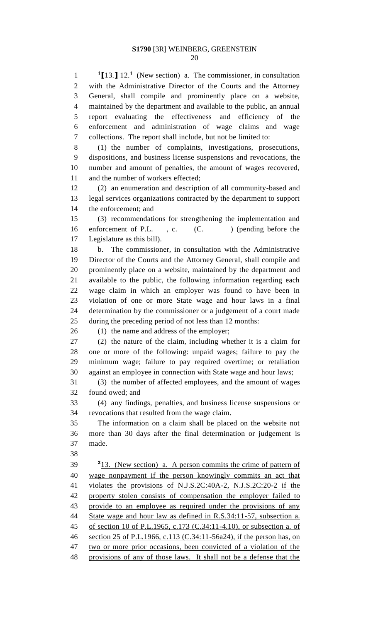**l 1 [13. ]**  $12.^1$  (New section) a. The commissioner, in consultation with the Administrative Director of the Courts and the Attorney General, shall compile and prominently place on a website, maintained by the department and available to the public, an annual report evaluating the effectiveness and efficiency of the enforcement and administration of wage claims and wage collections. The report shall include, but not be limited to:

 (1) the number of complaints, investigations, prosecutions, dispositions, and business license suspensions and revocations, the number and amount of penalties, the amount of wages recovered, and the number of workers effected;

 (2) an enumeration and description of all community-based and legal services organizations contracted by the department to support the enforcement; and

 (3) recommendations for strengthening the implementation and 16 enforcement of P.L., c. (C.) (pending before the Legislature as this bill).

 b. The commissioner, in consultation with the Administrative Director of the Courts and the Attorney General, shall compile and prominently place on a website, maintained by the department and available to the public, the following information regarding each wage claim in which an employer was found to have been in violation of one or more State wage and hour laws in a final determination by the commissioner or a judgement of a court made during the preceding period of not less than 12 months:

26 (1) the name and address of the employer;

 (2) the nature of the claim, including whether it is a claim for one or more of the following: unpaid wages; failure to pay the minimum wage; failure to pay required overtime; or retaliation against an employee in connection with State wage and hour laws;

 (3) the number of affected employees, and the amount of wages found owed; and

 (4) any findings, penalties, and business license suspensions or revocations that resulted from the wage claim.

 The information on a claim shall be placed on the website not more than 30 days after the final determination or judgement is made.

 2 13. (New section) a. A person commits the crime of pattern of wage nonpayment if the person knowingly commits an act that violates the provisions of N.J.S.2C:40A-2, N.J.S.2C:20-2 if the property stolen consists of compensation the employer failed to provide to an employee as required under the provisions of any State wage and hour law as defined in R.S.34:11-57, subsection a. of section 10 of P.L.1965, c.173 (C.34:11-4.10), or subsection a. of section 25 of P.L.1966, c.113 (C.34:11-56a24), if the person has, on two or more prior occasions, been convicted of a violation of the provisions of any of those laws. It shall not be a defense that the